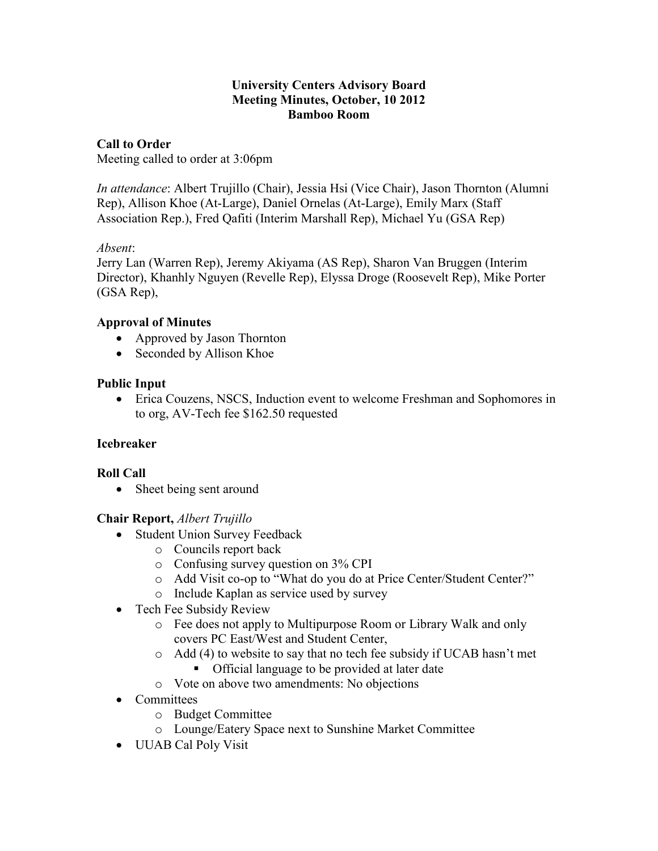### **University Centers Advisory Board Meeting Minutes, October, 10 2012 Bamboo Room**

**Call to Order** Meeting called to order at 3:06pm

*In attendance*: Albert Trujillo (Chair), Jessia Hsi (Vice Chair), Jason Thornton (Alumni Rep), Allison Khoe (At-Large), Daniel Ornelas (At-Large), Emily Marx (Staff Association Rep.), Fred Qafiti (Interim Marshall Rep), Michael Yu (GSA Rep)

## *Absent*:

Jerry Lan (Warren Rep), Jeremy Akiyama (AS Rep), Sharon Van Bruggen (Interim Director), Khanhly Nguyen (Revelle Rep), Elyssa Droge (Roosevelt Rep), Mike Porter (GSA Rep),

## **Approval of Minutes**

- Approved by Jason Thornton
- Seconded by Allison Khoe

# **Public Input**

 Erica Couzens, NSCS, Induction event to welcome Freshman and Sophomores in to org, AV-Tech fee \$162.50 requested

## **Icebreaker**

## **Roll Call**

• Sheet being sent around

## **Chair Report,** *Albert Trujillo*

- Student Union Survey Feedback
	- o Councils report back
	- o Confusing survey question on 3% CPI
	- o Add Visit co-op to "What do you do at Price Center/Student Center?"
	- o Include Kaplan as service used by survey
- Tech Fee Subsidy Review
	- o Fee does not apply to Multipurpose Room or Library Walk and only covers PC East/West and Student Center,
	- o Add (4) to website to say that no tech fee subsidy if UCAB hasn't met
		- Official language to be provided at later date
	- o Vote on above two amendments: No objections
- Committees
	- o Budget Committee
	- o Lounge/Eatery Space next to Sunshine Market Committee
- UUAB Cal Poly Visit